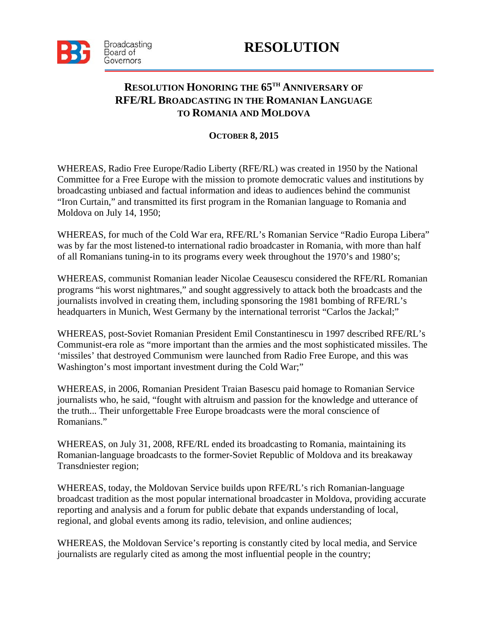

## **RESOLUTION**

## **RESOLUTION HONORING THE 65TH ANNIVERSARY OF RFE/RL BROADCASTING IN THE ROMANIAN LANGUAGE TO ROMANIA AND MOLDOVA**

## **OCTOBER 8, 2015**

WHEREAS, Radio Free Europe/Radio Liberty (RFE/RL) was created in 1950 by the National Committee for a Free Europe with the mission to promote democratic values and institutions by broadcasting unbiased and factual information and ideas to audiences behind the communist "Iron Curtain," and transmitted its first program in the Romanian language to Romania and Moldova on July 14, 1950;

WHEREAS, for much of the Cold War era, RFE/RL's Romanian Service "Radio Europa Libera" was by far the most listened-to international radio broadcaster in Romania, with more than half of all Romanians tuning-in to its programs every week throughout the 1970's and 1980's;

WHEREAS, communist Romanian leader Nicolae Ceausescu considered the RFE/RL Romanian programs "his worst nightmares," and sought aggressively to attack both the broadcasts and the journalists involved in creating them, including sponsoring the 1981 bombing of RFE/RL's headquarters in Munich, West Germany by the international terrorist "Carlos the Jackal;"

WHEREAS, post-Soviet Romanian President Emil Constantinescu in 1997 described RFE/RL's Communist-era role as "more important than the armies and the most sophisticated missiles. The 'missiles' that destroyed Communism were launched from Radio Free Europe, and this was Washington's most important investment during the Cold War;"

WHEREAS, in 2006, Romanian President Traian Basescu paid homage to Romanian Service journalists who, he said, "fought with altruism and passion for the knowledge and utterance of the truth... Their unforgettable Free Europe broadcasts were the moral conscience of Romanians."

WHEREAS, on July 31, 2008, RFE/RL ended its broadcasting to Romania, maintaining its Romanian-language broadcasts to the former-Soviet Republic of Moldova and its breakaway Transdniester region;

WHEREAS, today, the Moldovan Service builds upon RFE/RL's rich Romanian-language broadcast tradition as the most popular international broadcaster in Moldova, providing accurate reporting and analysis and a forum for public debate that expands understanding of local, regional, and global events among its radio, television, and online audiences;

WHEREAS, the Moldovan Service's reporting is constantly cited by local media, and Service journalists are regularly cited as among the most influential people in the country;